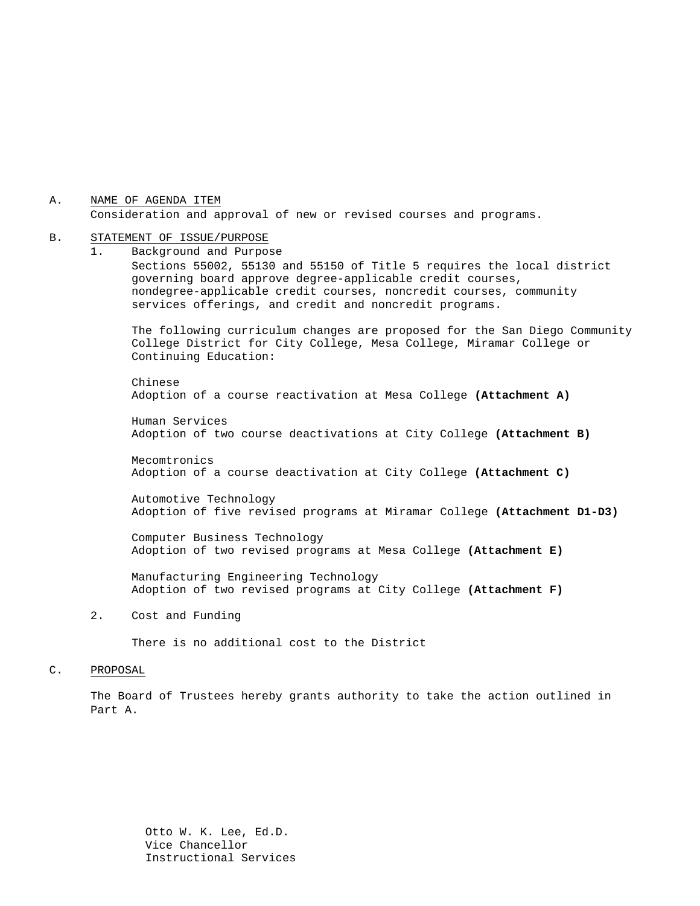A. Consideration and approval of new or revised courses and programs. NAME OF AGENDA ITEM

#### B. STATEMENT OF ISSUE/PURPOSE

1. Background and Purpose Sections 55002, 55130 and 55150 of Title 5 requires the local district governing board approve degree-applicable credit courses, nondegree-applicable credit courses, noncredit courses, community services offerings, and credit and noncredit programs.

The following curriculum changes are proposed for the San Diego Community College District for City College, Mesa College, Miramar College or Continuing Education:

Chinese Adoption of a course reactivation at Mesa College **(Attachment A)**

Human Services Adoption of two course deactivations at City College **(Attachment B)**

Mecomtronics Adoption of a course deactivation at City College **(Attachment C)**

Automotive Technology Adoption of five revised programs at Miramar College **(Attachment D1-D3)**

Computer Business Technology Adoption of two revised programs at Mesa College **(Attachment E)**

Manufacturing Engineering Technology Adoption of two revised programs at City College **(Attachment F)**

2. Cost and Funding

There is no additional cost to the District

#### C. PROPOSAL

The Board of Trustees hereby grants authority to take the action outlined in Part A.

> Otto W. K. Lee, Ed.D. Vice Chancellor Instructional Services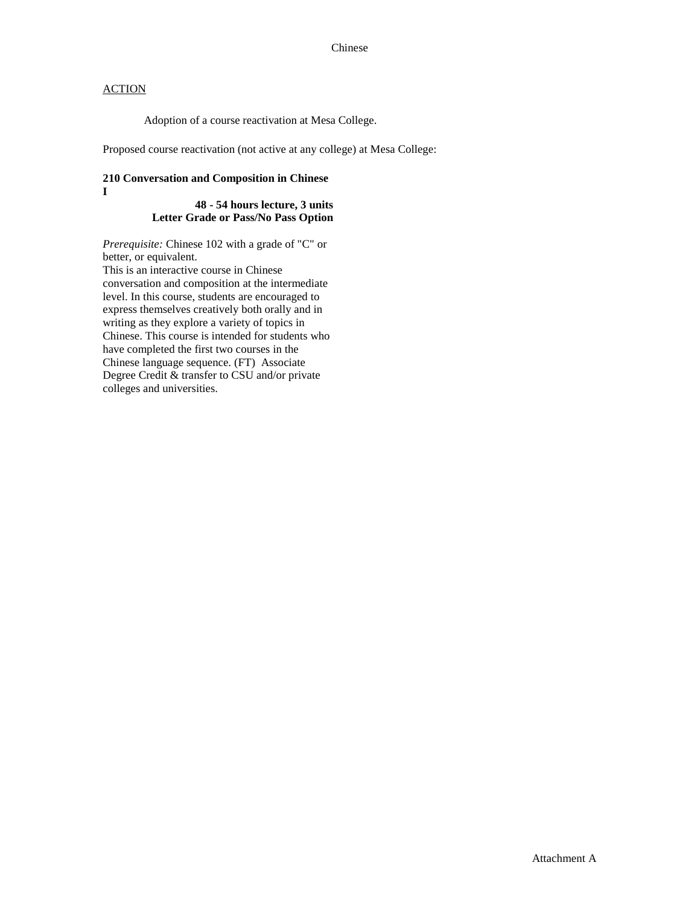Adoption of a course reactivation at Mesa College.

Proposed course reactivation (not active at any college) at Mesa College:

#### **210 Conversation and Composition in Chinese I**

#### **48 - 54 hours lecture, 3 units Letter Grade or Pass/No Pass Option**

*Prerequisite:* Chinese 102 with a grade of "C" or better, or equivalent.

This is an interactive course in Chinese conversation and composition at the intermediate level. In this course, students are encouraged to express themselves creatively both orally and in writing as they explore a variety of topics in Chinese. This course is intended for students who have completed the first two courses in the Chinese language sequence. (FT) Associate Degree Credit & transfer to CSU and/or private colleges and universities.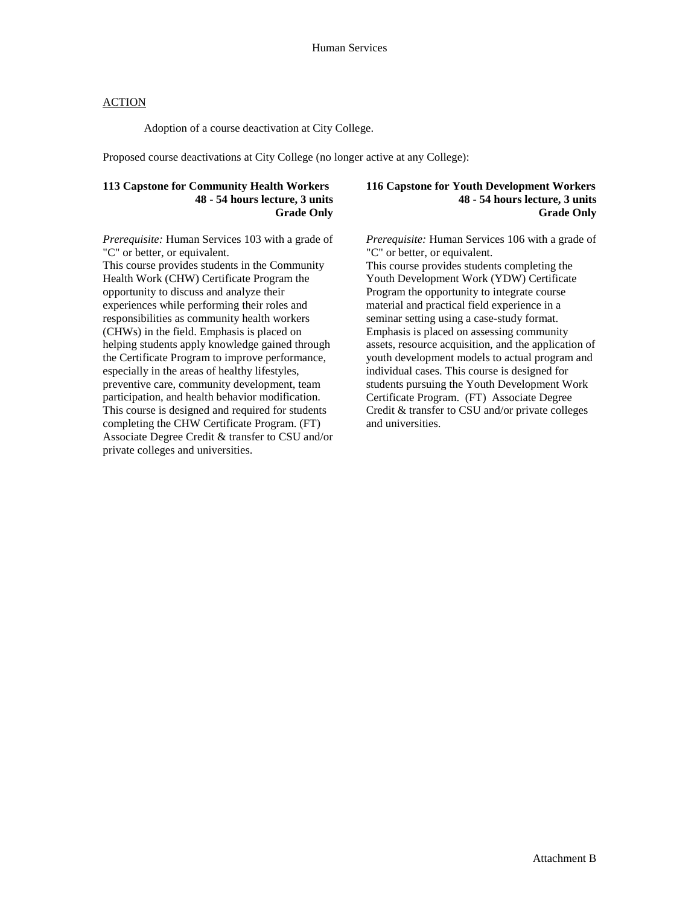Adoption of a course deactivation at City College.

Proposed course deactivations at City College (no longer active at any College):

#### **113 Capstone for Community Health Workers 48 - 54 hours lecture, 3 units Grade Only**

*Prerequisite:* Human Services 103 with a grade of "C" or better, or equivalent.

This course provides students in the Community Health Work (CHW) Certificate Program the opportunity to discuss and analyze their experiences while performing their roles and responsibilities as community health workers (CHWs) in the field. Emphasis is placed on helping students apply knowledge gained through the Certificate Program to improve performance, especially in the areas of healthy lifestyles, preventive care, community development, team participation, and health behavior modification. This course is designed and required for students completing the CHW Certificate Program. (FT) Associate Degree Credit & transfer to CSU and/or private colleges and universities.

#### **116 Capstone for Youth Development Workers 48 - 54 hours lecture, 3 units Grade Only**

*Prerequisite:* Human Services 106 with a grade of "C" or better, or equivalent.

This course provides students completing the Youth Development Work (YDW) Certificate Program the opportunity to integrate course material and practical field experience in a seminar setting using a case-study format. Emphasis is placed on assessing community assets, resource acquisition, and the application of youth development models to actual program and individual cases. This course is designed for students pursuing the Youth Development Work Certificate Program. (FT) Associate Degree Credit & transfer to CSU and/or private colleges and universities.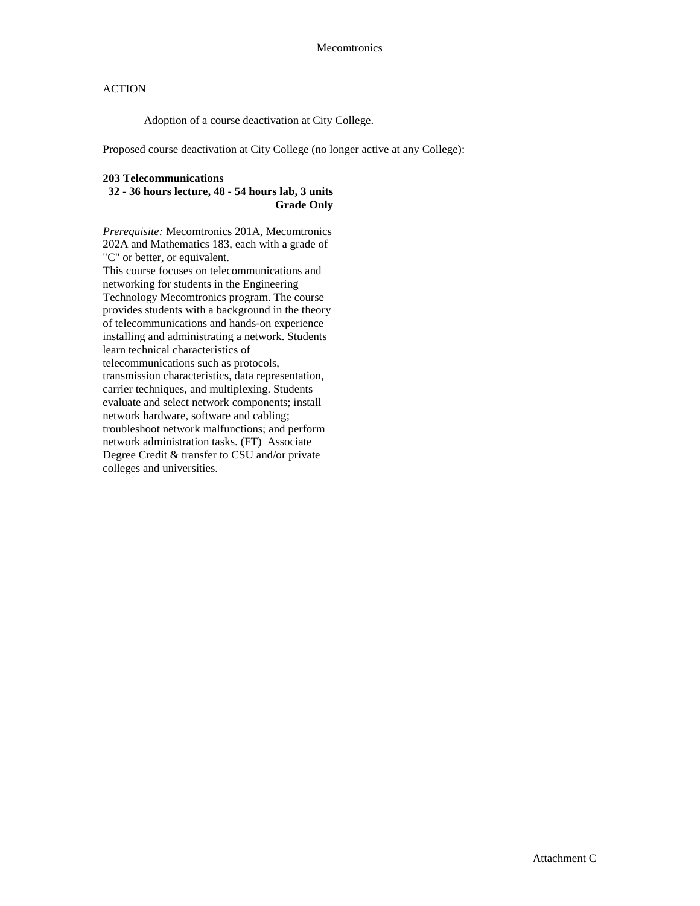Adoption of a course deactivation at City College.

Proposed course deactivation at City College (no longer active at any College):

#### **203 Telecommunications**

#### **32 - 36 hours lecture, 48 - 54 hours lab, 3 units Grade Only**

*Prerequisite:* Mecomtronics 201A, Mecomtronics 202A and Mathematics 183, each with a grade of "C" or better, or equivalent. This course focuses on telecommunications and networking for students in the Engineering Technology Mecomtronics program. The course provides students with a background in the theory of telecommunications and hands-on experience installing and administrating a network. Students learn technical characteristics of telecommunications such as protocols, transmission characteristics, data representation, carrier techniques, and multiplexing. Students evaluate and select network components; install network hardware, software and cabling; troubleshoot network malfunctions; and perform network administration tasks. (FT) Associate Degree Credit & transfer to CSU and/or private colleges and universities.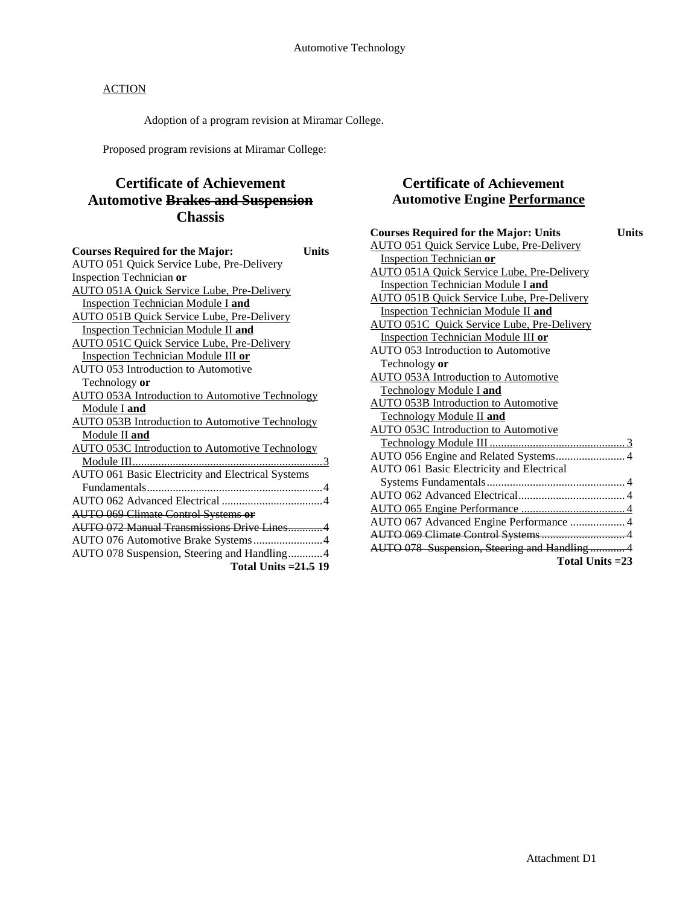Adoption of a program revision at Miramar College.

Proposed program revisions at Miramar College:

# **Certificate of Achievement Automotive Brakes and Suspension Chassis**

| <b>Courses Required for the Major:</b>                 | Units |
|--------------------------------------------------------|-------|
| AUTO 051 Quick Service Lube, Pre-Delivery              |       |
| Inspection Technician or                               |       |
| <b>AUTO 051A Quick Service Lube, Pre-Delivery</b>      |       |
| Inspection Technician Module I and                     |       |
| AUTO 051B Quick Service Lube, Pre-Delivery             |       |
| <b>Inspection Technician Module II and</b>             |       |
| <b>AUTO 051C Quick Service Lube, Pre-Delivery</b>      |       |
| Inspection Technician Module III or                    |       |
| AUTO 053 Introduction to Automotive                    |       |
| Technology or                                          |       |
| <b>AUTO 053A Introduction to Automotive Technology</b> |       |
| Module I and                                           |       |
| <b>AUTO 053B Introduction to Automotive Technology</b> |       |
| Module II and                                          |       |
| <b>AUTO 053C Introduction to Automotive Technology</b> |       |
|                                                        |       |
| AUTO 061 Basic Electricity and Electrical Systems      |       |
|                                                        |       |
|                                                        |       |
| <b>AUTO 069 Climate Control Systems or</b>             |       |
| <b>AUTO 072 Manual Transmissions Drive Lines4</b>      |       |
| AUTO 076 Automotive Brake Systems4                     |       |
| AUTO 078 Suspension, Steering and Handling4            |       |
| Total Units $=21.5$ 19                                 |       |

### **Certificate of Achievement Automotive Engine Performance**

| <b>Courses Required for the Major: Units</b><br>Units |
|-------------------------------------------------------|
| <b>AUTO 051 Quick Service Lube, Pre-Delivery</b>      |
| <b>Inspection Technician or</b>                       |
| AUTO 051A Quick Service Lube, Pre-Delivery            |
| <b>Inspection Technician Module I and</b>             |
| <b>AUTO 051B Quick Service Lube, Pre-Delivery</b>     |
| <b>Inspection Technician Module II and</b>            |
| <b>AUTO 051C</b> Quick Service Lube, Pre-Delivery     |
| <b>Inspection Technician Module III or</b>            |
| <b>AUTO 053 Introduction to Automotive</b>            |
| Technology or                                         |
| <b>AUTO 053A Introduction to Automotive</b>           |
| <b>Technology Module I and</b>                        |
| <b>AUTO 053B Introduction to Automotive</b>           |
| Technology Module II and                              |
| AUTO 053C Introduction to Automotive                  |
|                                                       |
| AUTO 056 Engine and Related Systems 4                 |
| AUTO 061 Basic Electricity and Electrical             |
|                                                       |
|                                                       |
|                                                       |
| AUTO 067 Advanced Engine Performance  4               |
| AUTO 069 Climate Control Systems 4                    |
| AUTO 078 Suspension, Steering and Handling 4          |
| Total Units $=23$                                     |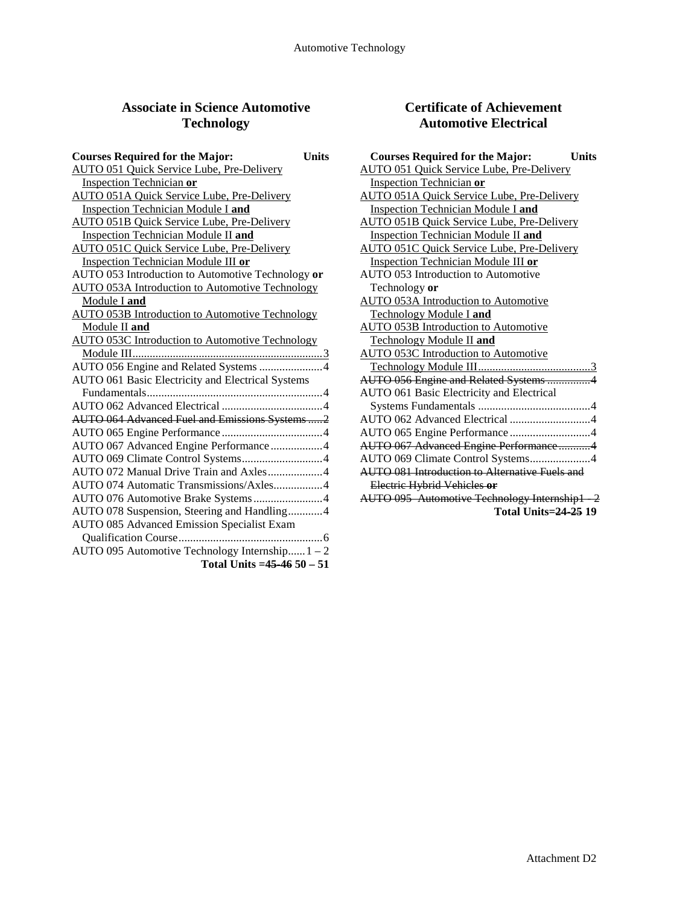# **Associate in Science Automotive Technology**

| <b>Courses Required for the Major:</b>                 | <b>Units</b> |
|--------------------------------------------------------|--------------|
| <b>AUTO 051 Quick Service Lube, Pre-Delivery</b>       |              |
| Inspection Technician or                               |              |
| <b>AUTO 051A Quick Service Lube, Pre-Delivery</b>      |              |
| <b>Inspection Technician Module I and</b>              |              |
| <b>AUTO 051B Quick Service Lube, Pre-Delivery</b>      |              |
| <b>Inspection Technician Module II and</b>             |              |
| <b>AUTO 051C Quick Service Lube, Pre-Delivery</b>      |              |
| Inspection Technician Module III or                    |              |
| AUTO 053 Introduction to Automotive Technology or      |              |
| <b>AUTO 053A Introduction to Automotive Technology</b> |              |
| Module I and                                           |              |
| <b>AUTO 053B Introduction to Automotive Technology</b> |              |
| Module II and                                          |              |
| <b>AUTO 053C Introduction to Automotive Technology</b> |              |
|                                                        |              |
| AUTO 056 Engine and Related Systems 4                  |              |
| AUTO 061 Basic Electricity and Electrical Systems      |              |
|                                                        |              |
|                                                        |              |
| <b>AUTO 064 Advanced Fuel and Emissions Systems2</b>   |              |
|                                                        |              |
| AUTO 067 Advanced Engine Performance4                  |              |
|                                                        |              |
|                                                        |              |
| AUTO 074 Automatic Transmissions/Axles4                |              |
| AUTO 076 Automotive Brake Systems4                     |              |
| AUTO 078 Suspension, Steering and Handling4            |              |
| <b>AUTO 085 Advanced Emission Specialist Exam</b>      |              |
|                                                        |              |
| AUTO 095 Automotive Technology Internship $1 - 2$      |              |
| Total Units = $45-4650-51$                             |              |
|                                                        |              |

## **Certificate of Achievement Automotive Electrical**

| <b>Courses Required for the Major:</b><br><b>Units</b> |
|--------------------------------------------------------|
| <b>AUTO 051 Quick Service Lube, Pre-Delivery</b>       |
| <b>Inspection Technician or</b>                        |
| <b>AUTO 051A Quick Service Lube, Pre-Delivery</b>      |
| <b>Inspection Technician Module I and</b>              |
| <b>AUTO 051B Quick Service Lube, Pre-Delivery</b>      |
| <b>Inspection Technician Module II and</b>             |
| <b>AUTO 051C Quick Service Lube, Pre-Delivery</b>      |
| <b>Inspection Technician Module III or</b>             |
| AUTO 053 Introduction to Automotive                    |
| Technology or                                          |
| AUTO 053A Introduction to Automotive                   |
| <b>Technology Module I and</b>                         |
| <b>AUTO 053B Introduction to Automotive</b>            |
| <b>Technology Module II and</b>                        |
| <b>AUTO 053C Introduction to Automotive</b>            |
|                                                        |
| AUTO 056 Engine and Related Systems 4                  |
| AUTO 061 Basic Electricity and Electrical              |
|                                                        |
| AUTO 062 Advanced Electrical 4                         |
|                                                        |
| AUTO 067 Advanced Engine Performance4                  |
| AUTO 069 Climate Control Systems4                      |
| <b>AUTO 081 Introduction to Alternative Fuels and</b>  |
| Electric Hybrid Vehicles or                            |
| AUTO 095 Automotive Technology Internship1 2           |
| <b>Total Units=24-25 19</b>                            |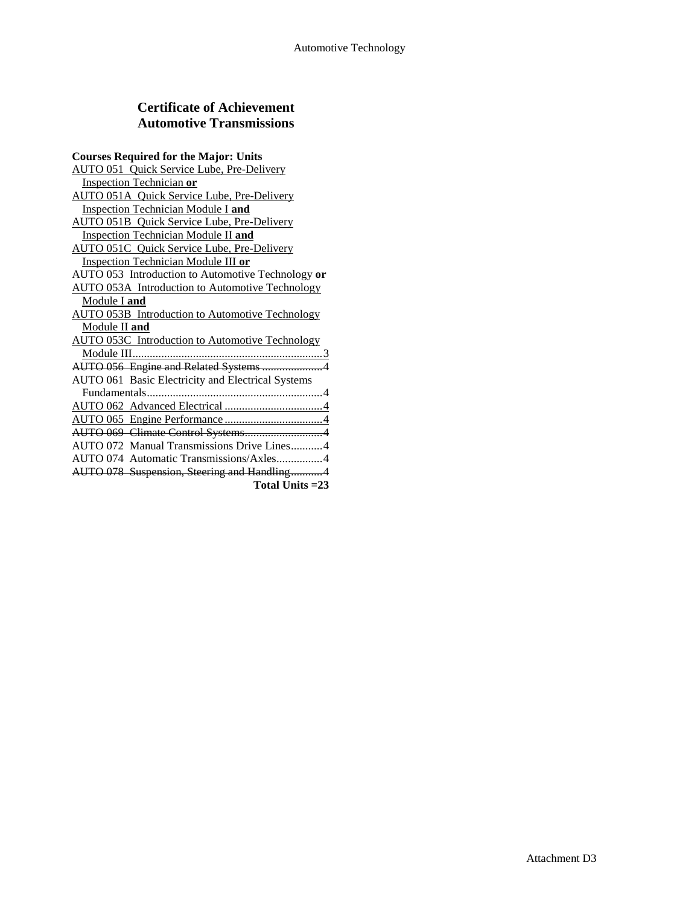### **Certificate of Achievement Automotive Transmissions**

| <b>Courses Required for the Major: Units</b>           |
|--------------------------------------------------------|
| <b>AUTO 051 Quick Service Lube, Pre-Delivery</b>       |
| <b>Inspection Technician or</b>                        |
| <b>AUTO 051A Quick Service Lube, Pre-Delivery</b>      |
| <b>Inspection Technician Module I and</b>              |
| <b>AUTO 051B</b> Quick Service Lube, Pre-Delivery      |
| <b>Inspection Technician Module II and</b>             |
| <b>AUTO 051C</b> Quick Service Lube, Pre-Delivery      |
| Inspection Technician Module III or                    |
| AUTO 053 Introduction to Automotive Technology or      |
| <b>AUTO 053A</b> Introduction to Automotive Technology |
| Module I and                                           |
| <b>AUTO 053B</b> Introduction to Automotive Technology |
| Module II and                                          |
| <b>AUTO 053C</b> Introduction to Automotive Technology |
|                                                        |
| AUTO 056 Engine and Related Systems 4                  |
| AUTO 061 Basic Electricity and Electrical Systems      |
|                                                        |
|                                                        |
|                                                        |
|                                                        |
| AUTO 072 Manual Transmissions Drive Lines4             |
| AUTO 074 Automatic Transmissions/Axles4                |
| AUTO 078 Suspension, Steering and Handling4            |
| Total Units = 23                                       |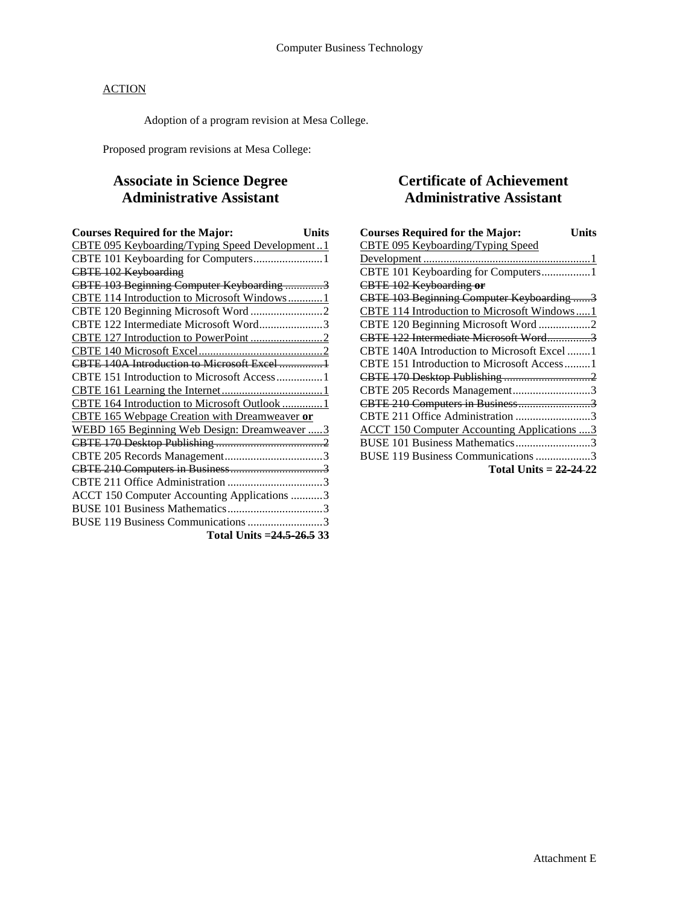Adoption of a program revision at Mesa College.

Proposed program revisions at Mesa College:

# **Associate in Science Degree Administrative Assistant**

| <b>Courses Required for the Major:</b><br><b>Units</b> |  |
|--------------------------------------------------------|--|
| CBTE 095 Keyboarding/Typing Speed Development1         |  |
| CBTE 101 Keyboarding for Computers 1                   |  |
| <b>CBTE 102 Keyboarding</b>                            |  |
| CBTE 103 Beginning Computer Keyboarding 3              |  |
| CBTE 114 Introduction to Microsoft Windows1            |  |
|                                                        |  |
| CBTE 122 Intermediate Microsoft Word3                  |  |
|                                                        |  |
|                                                        |  |
|                                                        |  |
|                                                        |  |
|                                                        |  |
| CBTE 164 Introduction to Microsoft Outlook 1           |  |
| <b>CBTE 165 Webpage Creation with Dreamweaver or</b>   |  |
| WEBD 165 Beginning Web Design: Dreamweaver  3          |  |
|                                                        |  |
|                                                        |  |
|                                                        |  |
|                                                        |  |
| ACCT 150 Computer Accounting Applications 3            |  |
|                                                        |  |
| BUSE 119 Business Communications 3                     |  |
| Total Units = 24.5-26.5 33                             |  |

# **Certificate of Achievement Administrative Assistant**

| <b>Courses Required for the Major:</b><br>Units    |
|----------------------------------------------------|
| CBTE 095 Keyboarding/Typing Speed                  |
|                                                    |
| CBTE 101 Keyboarding for Computers1                |
| CBTE 102 Keyboarding or                            |
| CBTE 103 Beginning Computer Keyboarding 3          |
| CBTE 114 Introduction to Microsoft Windows1        |
| CBTE 120 Beginning Microsoft Word2                 |
| CBTE 122 Intermediate Microsoft Word3              |
| CBTE 140A Introduction to Microsoft Excel 1        |
| CBTE 151 Introduction to Microsoft Access1         |
|                                                    |
| CBTE 205 Records Management3                       |
| CBTE 210 Computers in Business3                    |
| CBTE 211 Office Administration 3                   |
| <b>ACCT 150 Computer Accounting Applications 3</b> |
| BUSE 101 Business Mathematics3                     |
| BUSE 119 Business Communications 3                 |
| Total Units = $22-24-22$                           |